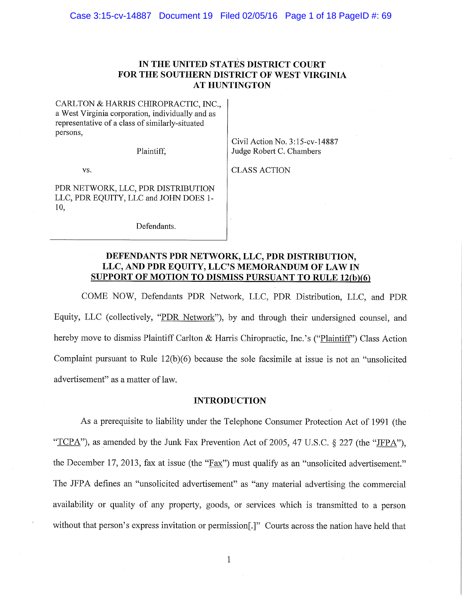# IN THE UNITED STATES DISTRICT COURT FOR THE SOUTHERN DISTRICT OF WEST VIRGINIA **AT HUNTINGTON**

CARLTON & HARRIS CHIROPRACTIC, INC., a West Virginia corporation, individually and as representative of a class of similarly-situated persons,

Plaintiff,

Civil Action No. 3:15-cv-14887 Judge Robert C. Chambers

VS.

**CLASS ACTION** 

PDR NETWORK, LLC, PDR DISTRIBUTION LLC, PDR EQUITY, LLC and JOHN DOES 1-10,

Defendants.

# DEFENDANTS PDR NETWORK, LLC, PDR DISTRIBUTION, LLC, AND PDR EQUITY, LLC'S MEMORANDUM OF LAW IN **SUPPORT OF MOTION TO DISMISS PURSUANT TO RULE 12(b)(6)**

COME NOW, Defendants PDR Network, LLC, PDR Distribution, LLC, and PDR Equity, LLC (collectively, "PDR Network"), by and through their undersigned counsel, and hereby move to dismiss Plaintiff Carlton & Harris Chiropractic, Inc.'s ("Plaintiff") Class Action Complaint pursuant to Rule  $12(b)(6)$  because the sole facsimile at issue is not an "unsolicited" advertisement" as a matter of law.

## **INTRODUCTION**

As a prerequisite to liability under the Telephone Consumer Protection Act of 1991 (the "TCPA"), as amended by the Junk Fax Prevention Act of 2005, 47 U.S.C. § 227 (the "JFPA"), the December 17, 2013, fax at issue (the "Fax") must qualify as an "unsolicited advertisement." The JFPA defines an "unsolicited advertisement" as "any material advertising the commercial availability or quality of any property, goods, or services which is transmitted to a person without that person's express invitation or permission[.]" Courts across the nation have held that

 $\mathbf{1}$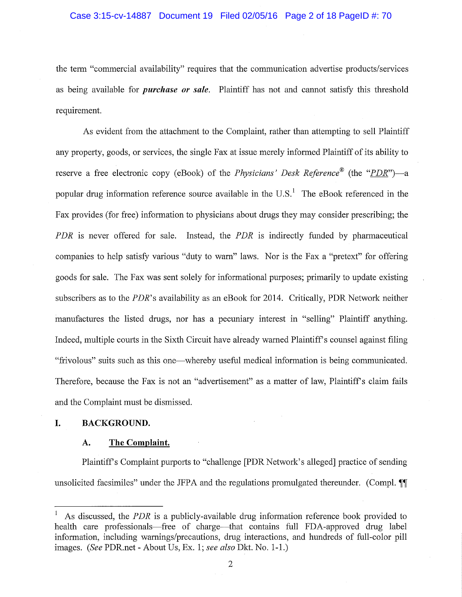the term "commercial availability" requires that the communication advertise products/services as being available for *purchase or sale*. Plaintiff has not and cannot satisfy this threshold requirement.

As evident from the attachment to the Complaint, rather than attempting to sell Plaintiff any property, goods, or services, the single Fax at issue merely informed Plaintiff of its ability to reserve a free electronic copy (eBook) of the *Physicians' Desk Reference*<sup>®</sup> (the "*PDR*")—a popular drug information reference source available in the  $U.S.<sup>1</sup>$  The eBook referenced in the Fax provides (for free) information to physicians about drugs they may consider prescribing; the PDR is never offered for sale. Instead, the PDR is indirectly funded by pharmaceutical companies to help satisfy various "duty to warn" laws. Nor is the Fax a "pretext" for offering goods for sale. The Fax was sent solely for informational purposes; primarily to update existing subscribers as to the *PDR*'s availability as an eBook for 2014. Critically, PDR Network neither manufactures the listed drugs, nor has a pecuniary interest in "selling" Plaintiff anything. Indeed, multiple courts in the Sixth Circuit have already warned Plaintiff's counsel against filing "frivolous" suits such as this one—whereby useful medical information is being communicated. Therefore, because the Fax is not an "advertisement" as a matter of law, Plaintiff's claim fails and the Complaint must be dismissed.

#### **BACKGROUND.** I.

#### The Complaint. A.

Plaintiff's Complaint purports to "challenge [PDR Network's alleged] practice of sending unsolicited facsimiles" under the JFPA and the regulations promulgated thereunder. (Compl. 11)

As discussed, the *PDR* is a publicly-available drug information reference book provided to health care professionals—free of charge—that contains full FDA-approved drug label information, including warnings/precautions, drug interactions, and hundreds of full-color pill images. (See PDR.net - About Us, Ex. 1; see also Dkt. No. 1-1.)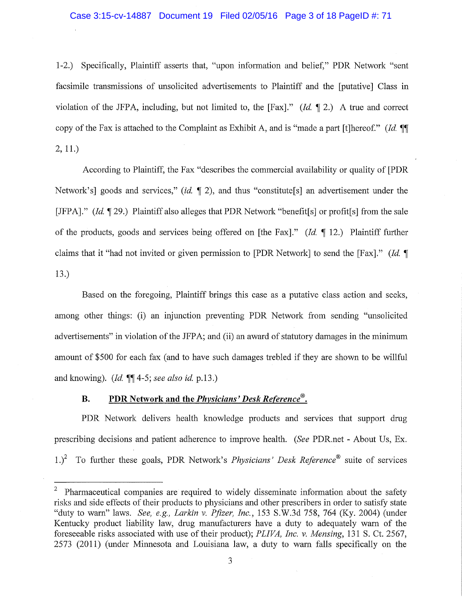## Case 3:15-cv-14887 Document 19 Filed 02/05/16 Page 3 of 18 PageID #: 71

1-2.) Specifically, Plaintiff asserts that, "upon information and belief," PDR Network "sent facsimile transmissions of unsolicited advertisements to Plaintiff and the [putative] Class in violation of the JFPA, including, but not limited to, the [Fax]." (Id.  $\P$  2.) A true and correct copy of the Fax is attached to the Complaint as Exhibit A, and is "made a part [t]hereof." (Id. ¶  $2, 11.$ 

According to Plaintiff, the Fax "describes the commercial availability or quality of [PDR] Network's] goods and services," (id.  $\P$  2), and thus "constitute[s] an advertisement under the [JFPA]." (Id.  $\P$  29.) Plaintiff also alleges that PDR Network "benefit[s] or profit[s] from the sale of the products, goods and services being offered on [the Fax]." (*Id.*  $\P$  12.) Plaintiff further claims that it "had not invited or given permission to [PDR Network] to send the [Fax]." *(Id.* ¶  $13.)$ 

Based on the foregoing, Plaintiff brings this case as a putative class action and seeks, among other things: (i) an injunction preventing PDR Network from sending "unsolicited advertisements" in violation of the JFPA; and (ii) an award of statutory damages in the minimum amount of \$500 for each fax (and to have such damages trebled if they are shown to be willful and knowing). (*Id.*  $\P\P$ 4-5; see also id. p.13.)

#### PDR Network and the *Physicians' Desk Reference*<sup>®</sup>. **B.**

PDR Network delivers health knowledge products and services that support drug prescribing decisions and patient adherence to improve health. (See PDR, net - About Us, Ex. 1.)<sup>2</sup> To further these goals, PDR Network's *Physicians' Desk Reference*<sup>®</sup> suite of services

<sup>&</sup>lt;sup>2</sup> Pharmaceutical companies are required to widely disseminate information about the safety risks and side effects of their products to physicians and other prescribers in order to satisfy state "duty to warn" laws. See, e.g., Larkin v. Pfizer, Inc., 153 S.W.3d 758, 764 (Ky. 2004) (under Kentucky product liability law, drug manufacturers have a duty to adequately warn of the foreseeable risks associated with use of their product); PLIVA, Inc. v. Mensing, 131 S. Ct. 2567, 2573 (2011) (under Minnesota and Louisiana law, a duty to warn falls specifically on the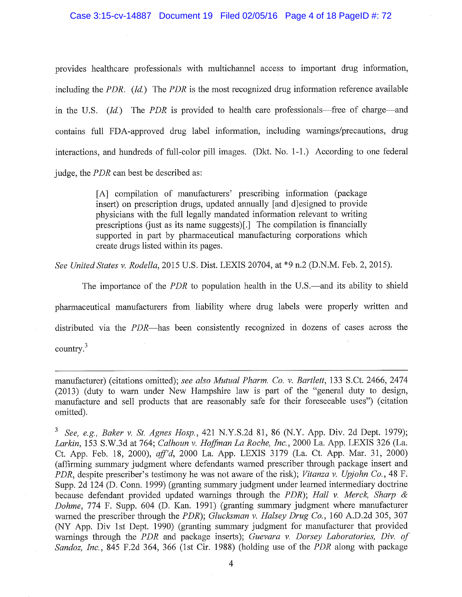provides healthcare professionals with multichannel access to important drug information, including the PDR.  $(Id.)$  The PDR is the most recognized drug information reference available in the U.S. (Id.) The PDR is provided to health care professionals—free of charge—and contains full FDA-approved drug label information, including warnings/precautions, drug interactions, and hundreds of full-color pill images. (Dkt. No. 1-1.) According to one federal judge, the *PDR* can best be described as:

> [A] compilation of manufacturers' prescribing information (package insert) on prescription drugs, updated annually [and d]esigned to provide physicians with the full legally mandated information relevant to writing prescriptions (just as its name suggests)[.] The compilation is financially supported in part by pharmaceutical manufacturing corporations which create drugs listed within its pages.

See United States v. Rodella, 2015 U.S. Dist. LEXIS 20704, at \*9 n.2 (D.N.M. Feb. 2, 2015).

The importance of the *PDR* to population health in the U.S.—and its ability to shield pharmaceutical manufacturers from liability where drug labels were properly written and distributed via the *PDR*—has been consistently recognized in dozens of cases across the country. $3$ 

manufacturer) (citations omitted); see also Mutual Pharm. Co. v. Bartlett, 133 S.Ct. 2466, 2474 (2013) (duty to warn under New Hampshire law is part of the "general duty to design, manufacture and sell products that are reasonably safe for their foreseeable uses") (citation omitted).

<sup>3</sup> See, e.g., Baker v. St. Agnes Hosp., 421 N.Y.S.2d 81, 86 (N.Y. App. Div. 2d Dept. 1979); Larkin, 153 S.W.3d at 764; Calhoun v. Hoffman La Roche, Inc., 2000 La. App. LEXIS 326 (La. Ct. App. Feb. 18, 2000), aff'd, 2000 La. App. LEXIS 3179 (La. Ct. App. Mar. 31, 2000) (affirming summary judgment where defendants warned prescriber through package insert and PDR, despite prescriber's testimony he was not aware of the risk); Vitanza v. Upjohn Co., 48 F. Supp. 2d 124 (D. Conn. 1999) (granting summary judgment under learned intermediary doctrine because defendant provided updated warnings through the PDR); Hall v. Merck, Sharp & Dohme, 774 F. Supp. 604 (D. Kan. 1991) (granting summary judgment where manufacturer warned the prescriber through the PDR); Glucksman v. Halsey Drug Co., 160 A.D.2d 305, 307 (NY App. Div 1st Dept. 1990) (granting summary judgment for manufacturer that provided warnings through the PDR and package inserts); Guevara v. Dorsey Laboratories, Div. of Sandoz, Inc., 845 F.2d 364, 366 (1st Cir. 1988) (holding use of the PDR along with package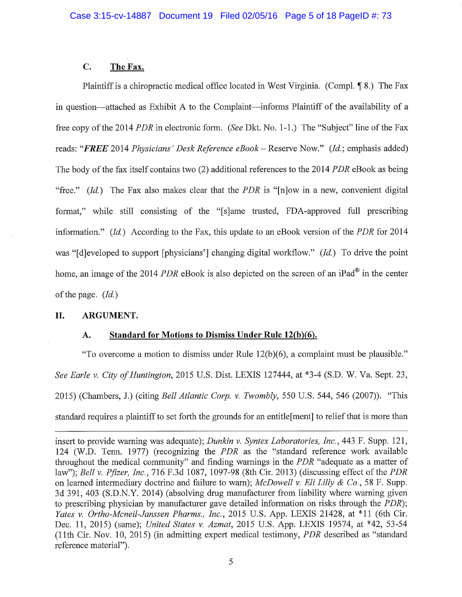#### $C_{\bullet}$ The Fax.

Plaintiff is a chiropractic medical office located in West Virginia. (Compl. 18.) The Fax in question—attached as Exhibit A to the Complaint—informs Plaintiff of the availability of a free copy of the 2014 PDR in electronic form. (See Dkt. No. 1-1.) The "Subject" line of the Fax reads: "FREE 2014 Physicians' Desk Reference eBook – Reserve Now." (Id.; emphasis added) The body of the fax itself contains two (2) additional references to the 2014 *PDR* eBook as being "free." (Id.) The Fax also makes clear that the PDR is "[n]ow in a new, convenient digital format," while still consisting of the "[s]ame trusted, FDA-approved full prescribing information."  $(Id)$  According to the Fax, this update to an eBook version of the PDR for 2014 was "[d]eveloped to support [physicians'] changing digital workflow."  $(Id)$  To drive the point home, an image of the 2014 PDR eBook is also depicted on the screen of an iPad<sup>®</sup> in the center of the page.  $(Id.)$ 

#### II. ARGUMENT.

#### Standard for Motions to Dismiss Under Rule 12(b)(6).  $\mathbf{A}$ .

"To overcome a motion to dismiss under Rule 12(b)(6), a complaint must be plausible." See Earle v. City of Huntington, 2015 U.S. Dist. LEXIS 127444, at \*3-4 (S.D. W. Va. Sept. 23, 2015) (Chambers, J.) (citing *Bell Atlantic Corp. v. Twombly*, 550 U.S. 544, 546 (2007)). "This standard requires a plaintiff to set forth the grounds for an entitle [ment] to relief that is more than

insert to provide warning was adequate); *Dunkin v. Syntex Laboratories, Inc.*, 443 F. Supp. 121, 124 (W.D. Tenn. 1977) (recognizing the PDR as the "standard reference work available throughout the medical community" and finding warnings in the PDR "adequate as a matter of law"); Bell v. Pfizer, Inc., 716 F.3d 1087, 1097-98 (8th Cir. 2013) (discussing effect of the PDR on learned intermediary doctrine and failure to warn); McDowell v. Eli Lilly & Co., 58 F. Supp. 3d 391, 403 (S.D.N.Y. 2014) (absolving drug manufacturer from liability where warning given to prescribing physician by manufacturer gave detailed information on risks through the *PDR*); Yates v. Ortho-Mcneil-Janssen Pharms., Inc., 2015 U.S. App. LEXIS 21428, at \*11 (6th Cir. Dec. 11, 2015) (same); United States v. Azmat, 2015 U.S. App. LEXIS 19574, at \*42, 53-54 (11th Cir. Nov. 10, 2015) (in admitting expert medical testimony, *PDR* described as "standard reference material").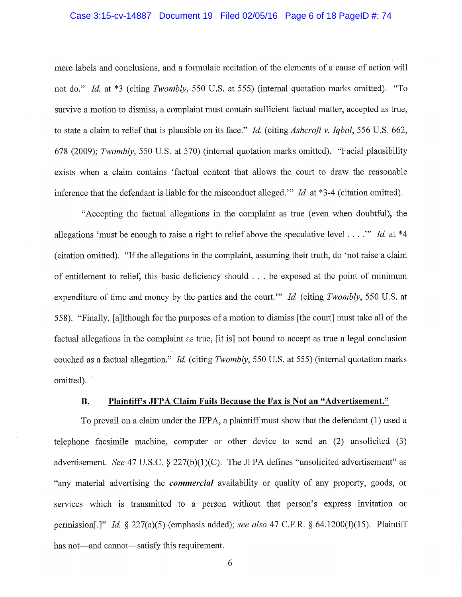### Case 3:15-cv-14887 Document 19 Filed 02/05/16 Page 6 of 18 PageID #: 74

mere labels and conclusions, and a formulaic recitation of the elements of a cause of action will not do." Id. at \*3 (citing Twombly, 550 U.S. at 555) (internal quotation marks omitted). "To survive a motion to dismiss, a complaint must contain sufficient factual matter, accepted as true, to state a claim to relief that is plausible on its face." *Id.* (citing *Ashcroft v. Igbal*, 556 U.S. 662, 678 (2009); *Twombly*, 550 U.S. at 570) (internal quotation marks omitted). "Facial plausibility exists when a claim contains 'factual content that allows the court to draw the reasonable inference that the defendant is liable for the misconduct alleged." Id. at  $*3-4$  (citation omitted).

"Accepting the factual allegations in the complaint as true (even when doubtful), the allegations 'must be enough to raise a right to relief above the speculative level . . . ." Id. at \*4 (citation omitted). "If the allegations in the complaint, assuming their truth, do 'not raise a claim of entitlement to relief, this basic deficiency should . . . be exposed at the point of minimum expenditure of time and money by the parties and the court." Id. (citing Twombly, 550 U.S. at 558). "Finally, [a]lthough for the purposes of a motion to dismiss [the court] must take all of the factual allegations in the complaint as true, it is not bound to accept as true a legal conclusion couched as a factual allegation." Id. (citing Twombly, 550 U.S. at 555) (internal quotation marks omitted).

#### Plaintiff's JFPA Claim Fails Because the Fax is Not an "Advertisement." **B.**

To prevail on a claim under the JFPA, a plaintiff must show that the defendant (1) used a telephone facsimile machine, computer or other device to send an (2) unsolicited (3) advertisement. See 47 U.S.C. § 227(b)(1)(C). The JFPA defines "unsolicited advertisement" as "any material advertising the *commercial* availability or quality of any property, goods, or services which is transmitted to a person without that person's express invitation or permission[.]" *Id.*  $\frac{227(a)(5)}{27(a)(5)}$  (emphasis added); *see also* 47 C.F.R.  $\frac{6}{3}$  64.1200(f)(15). Plaintiff has not—and cannot—satisfy this requirement.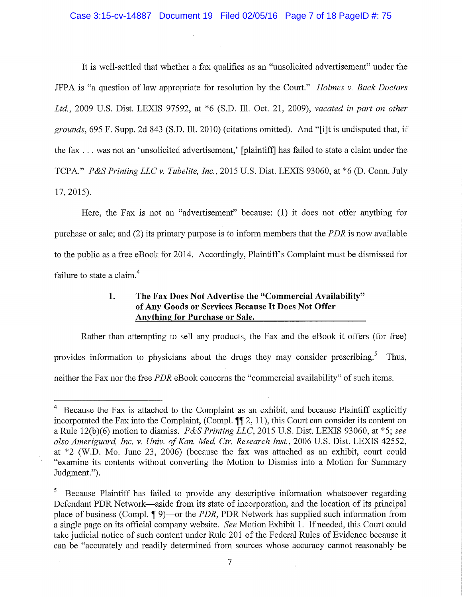It is well-settled that whether a fax qualifies as an "unsolicited advertisement" under the JFPA is "a question of law appropriate for resolution by the Court." Holmes v. Back Doctors Ltd., 2009 U.S. Dist. LEXIS 97592, at \*6 (S.D. Ill. Oct. 21, 2009), vacated in part on other grounds, 695 F. Supp. 2d 843 (S.D. Ill. 2010) (citations omitted). And "[i]t is undisputed that, if the fax . . . was not an 'unsolicited advertisement,' [plaintiff] has failed to state a claim under the TCPA." P&S Printing LLC v. Tubelite, Inc., 2015 U.S. Dist. LEXIS 93060, at \*6 (D. Conn. July  $17, 2015$ ).

Here, the Fax is not an "advertisement" because: (1) it does not offer anything for purchase or sale; and (2) its primary purpose is to inform members that the *PDR* is now available to the public as a free eBook for 2014. Accordingly, Plaintiff's Complaint must be dismissed for failure to state a claim.<sup>4</sup>

### The Fax Does Not Advertise the "Commercial Availability" 1. of Any Goods or Services Because It Does Not Offer **Anything for Purchase or Sale.**

Rather than attempting to sell any products, the Fax and the eBook it offers (for free) provides information to physicians about the drugs they may consider prescribing.<sup>5</sup> Thus, neither the Fax nor the free PDR eBook concerns the "commercial availability" of such items.

 $\overline{4}$ Because the Fax is attached to the Complaint as an exhibit, and because Plaintiff explicitly incorporated the Fax into the Complaint, (Compl.  $\P$ [2, 11), this Court can consider its content on a Rule 12(b)(6) motion to dismiss. P&S Printing LLC, 2015 U.S. Dist. LEXIS 93060, at \*5; see also Ameriguard, Inc. v. Univ. of Kan. Med. Ctr. Research Inst., 2006 U.S. Dist. LEXIS 42552, at \*2 (W.D. Mo. June 23, 2006) (because the fax was attached as an exhibit, court could "examine its contents without converting the Motion to Dismiss into a Motion for Summary Judgment.").

Because Plaintiff has failed to provide any descriptive information whatsoever regarding Defendant PDR Network—aside from its state of incorporation, and the location of its principal place of business (Compl.  $\P$  9)—or the *PDR*, PDR Network has supplied such information from a single page on its official company website. See Motion Exhibit 1. If needed, this Court could take judicial notice of such content under Rule 201 of the Federal Rules of Evidence because it can be "accurately and readily determined from sources whose accuracy cannot reasonably be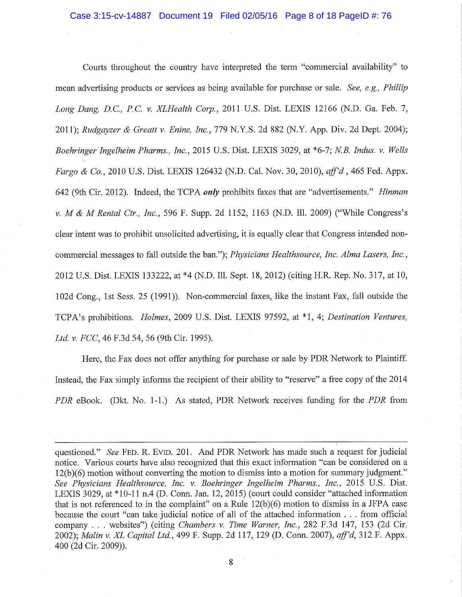Courts throughout the country have interpreted the term "commercial availability" to mean advertising products or services as being available for purchase or sale. See, e.g., Phillip Long Dang, D.C., P.C. v. XLHealth Corp., 2011 U.S. Dist. LEXIS 12166 (N.D. Ga. Feb. 7, 2011); Rudgayzer & Greatt v. Enine, Inc., 779 N.Y.S. 2d 882 (N.Y. App. Div. 2d Dept. 2004); Boehringer Ingelheim Pharms., Inc., 2015 U.S. Dist. LEXIS 3029, at \*6-7; N.B. Indus. v. Wells Fargo & Co., 2010 U.S. Dist. LEXIS 126432 (N.D. Cal. Nov. 30, 2010), aff'd, 465 Fed. Appx. 642 (9th Cir. 2012). Indeed, the TCPA only prohibits faxes that are "advertisements." Hinman v. M & M Rental Ctr., Inc., 596 F. Supp. 2d 1152, 1163 (N.D. Ill. 2009) ("While Congress's clear intent was to prohibit unsolicited advertising, it is equally clear that Congress intended noncommercial messages to fall outside the ban."); Physicians Healthsource, Inc. Alma Lasers, Inc., 2012 U.S. Dist. LEXIS 133222, at \*4 (N.D. Ill. Sept. 18, 2012) (citing H.R. Rep. No. 317, at 10, 102d Cong., 1st Sess. 25 (1991)). Non-commercial faxes, like the instant Fax, fall outside the TCPA's prohibitions. Holmes, 2009 U.S. Dist. LEXIS 97592, at \*1, 4; Destination Ventures. Ltd. v. FCC, 46 F.3d 54, 56 (9th Cir. 1995).

Here, the Fax does not offer anything for purchase or sale by PDR Network to Plaintiff. Instead, the Fax simply informs the recipient of their ability to "reserve" a free copy of the 2014 PDR eBook. (Dkt. No. 1-1.) As stated, PDR Network receives funding for the PDR from

questioned." See FED. R. EVID. 201. And PDR Network has made such a request for judicial notice. Various courts have also recognized that this exact information "can be considered on a 12(b)(6) motion without converting the motion to dismiss into a motion for summary judgment." See Physicians Healthsource, Inc. v. Boehringer Ingelheim Pharms., Inc., 2015 U.S. Dist. LEXIS 3029, at \*10-11 n.4 (D. Conn. Jan. 12, 2015) (court could consider "attached information that is not referenced to in the complaint" on a Rule  $12(b)(6)$  motion to dismiss in a JFPA case because the court "can take judicial notice of all of the attached information . . . from official company . . . websites") (citing *Chambers v. Time Warner, Inc.*, 282 F.3d 147, 153 (2d Cir. 2002); Malin v. XL Capital Ltd., 499 F. Supp. 2d 117, 129 (D. Conn. 2007), aff'd, 312 F. Appx. 400 (2d Cir. 2009)).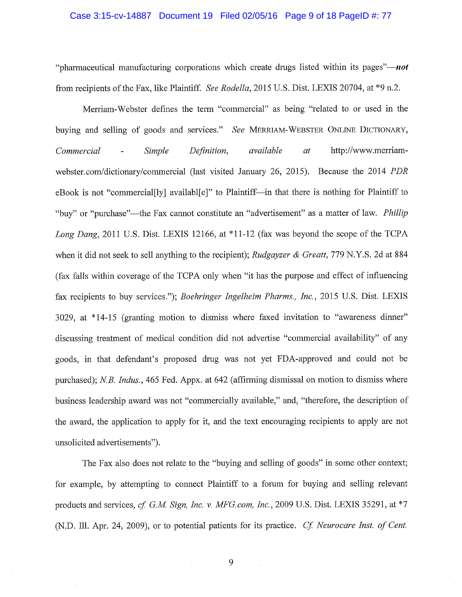"pharmaceutical manufacturing corporations which create drugs listed within its pages"—*not* from recipients of the Fax, like Plaintiff. See Rodella, 2015 U.S. Dist. LEXIS 20704, at \*9 n.2.

Merriam-Webster defines the term "commercial" as being "related to or used in the buying and selling of goods and services." See MERRIAM-WEBSTER ONLINE DICTIONARY, Commercial Simple Definition, available  $at$ http://www.merriam- $\overline{a}$ webster.com/dictionary/commercial (last visited January 26, 2015). Because the 2014 PDR eBook is not "commercial[ly] availabl[e]" to Plaintiff—in that there is nothing for Plaintiff to "buy" or "purchase"—the Fax cannot constitute an "advertisement" as a matter of law. Phillip Long Dang, 2011 U.S. Dist. LEXIS 12166, at \*11-12 (fax was beyond the scope of the TCPA when it did not seek to sell anything to the recipient); Rudgayzer & Greatt, 779 N.Y.S. 2d at 884 (fax falls within coverage of the TCPA only when "it has the purpose and effect of influencing fax recipients to buy services."); Boehringer Ingelheim Pharms., Inc., 2015 U.S. Dist. LEXIS 3029, at \*14-15 (granting motion to dismiss where faxed invitation to "awareness dinner" discussing treatment of medical condition did not advertise "commercial availability" of any goods, in that defendant's proposed drug was not yet FDA-approved and could not be purchased); N.B. Indus., 465 Fed. Appx. at 642 (affirming dismissal on motion to dismiss where business leadership award was not "commercially available," and, "therefore, the description of the award, the application to apply for it, and the text encouraging recipients to apply are not unsolicited advertisements").

The Fax also does not relate to the "buying and selling of goods" in some other context; for example, by attempting to connect Plaintiff to a forum for buying and selling relevant products and services, cf. G.M. Sign, Inc. v. MFG.com, Inc., 2009 U.S. Dist. LEXIS 35291, at \*7 (N.D. Ill. Apr. 24, 2009), or to potential patients for its practice. Cf. Neurocare Inst. of Cent.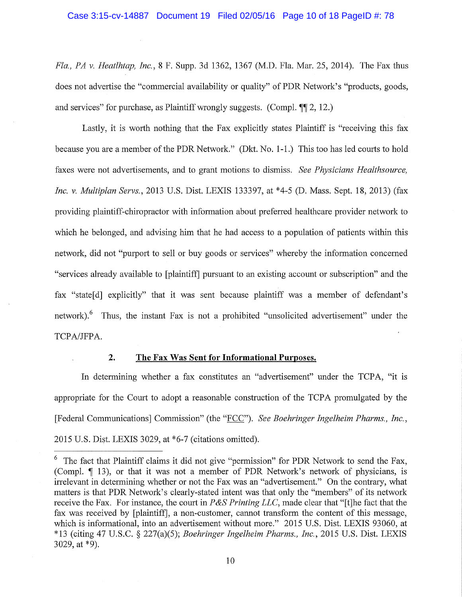Fla., PA v. Heatlhtap, Inc., 8 F. Supp. 3d 1362, 1367 (M.D. Fla. Mar. 25, 2014). The Fax thus does not advertise the "commercial availability or quality" of PDR Network's "products, goods, and services" for purchase, as Plaintiff wrongly suggests. (Compl. ¶ 2, 12.)

Lastly, it is worth nothing that the Fax explicitly states Plaintiff is "receiving this fax because you are a member of the PDR Network." (Dkt. No. 1-1.) This too has led courts to hold faxes were not advertisements, and to grant motions to dismiss. See Physicians Healthsource, Inc. v. Multiplan Servs., 2013 U.S. Dist. LEXIS 133397, at \*4-5 (D. Mass. Sept. 18, 2013) (fax providing plaintiff-chiropractor with information about preferred healthcare provider network to which he belonged, and advising him that he had access to a population of patients within this network, did not "purport to sell or buy goods or services" whereby the information concerned "services already available to [plaintiff] pursuant to an existing account or subscription" and the fax "state [d] explicitly" that it was sent because plaintiff was a member of defendant's network).<sup>6</sup> Thus, the instant Fax is not a prohibited "unsolicited advertisement" under the TCPA/JFPA.

### $2.$

# The Fax Was Sent for Informational Purposes.

In determining whether a fax constitutes an "advertisement" under the TCPA, "it is appropriate for the Court to adopt a reasonable construction of the TCPA promulgated by the [Federal Communications] Commission" (the "FCC"). See Boehringer Ingelheim Pharms., Inc., 2015 U.S. Dist. LEXIS 3029, at \*6-7 (citations omitted).

 $6\degree$  The fact that Plaintiff claims it did not give "permission" for PDR Network to send the Fax, (Compl. ¶ 13), or that it was not a member of PDR Network's network of physicians, is irrelevant in determining whether or not the Fax was an "advertisement." On the contrary, what matters is that PDR Network's clearly-stated intent was that only the "members" of its network receive the Fax. For instance, the court in  $P\&S\; Printing$  *LLC*, made clear that "[t] he fact that the fax was received by [plaintiff], a non-customer, cannot transform the content of this message, which is informational, into an advertisement without more." 2015 U.S. Dist. LEXIS 93060, at \*13 (citing 47 U.S.C. § 227(a)(5); Boehringer Ingelheim Pharms., Inc., 2015 U.S. Dist. LEXIS 3029, at  $*9$ ).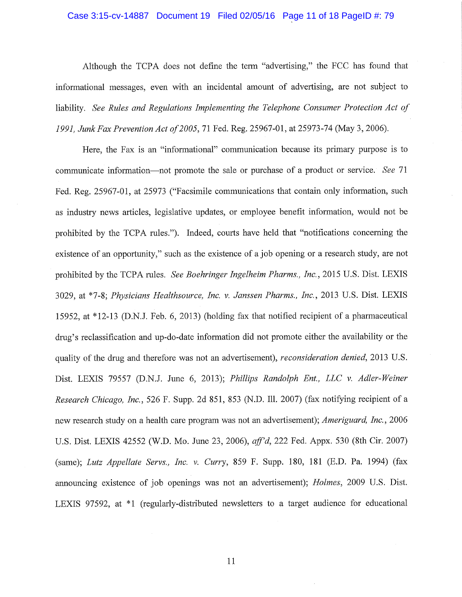### Case 3:15-cv-14887 Document 19 Filed 02/05/16 Page 11 of 18 PageID #: 79

Although the TCPA does not define the term "advertising," the FCC has found that informational messages, even with an incidental amount of advertising, are not subject to liability. See Rules and Regulations Implementing the Telephone Consumer Protection Act of 1991, Junk Fax Prevention Act of 2005, 71 Fed. Reg. 25967-01, at 25973-74 (May 3, 2006).

Here, the Fax is an "informational" communication because its primary purpose is to communicate information—not promote the sale or purchase of a product or service. See 71 Fed. Reg. 25967-01, at 25973 ("Facsimile communications that contain only information, such as industry news articles, legislative updates, or employee benefit information, would not be prohibited by the TCPA rules."). Indeed, courts have held that "notifications concerning the existence of an opportunity," such as the existence of a job opening or a research study, are not prohibited by the TCPA rules. See Boehringer Ingelheim Pharms., Inc., 2015 U.S. Dist. LEXIS 3029, at \*7-8; Physicians Healthsource, Inc. v. Janssen Pharms., Inc., 2013 U.S. Dist. LEXIS 15952, at \*12-13 (D.N.J. Feb. 6, 2013) (holding fax that notified recipient of a pharmaceutical drug's reclassification and up-do-date information did not promote either the availability or the quality of the drug and therefore was not an advertisement), *reconsideration denied*, 2013 U.S. Dist. LEXIS 79557 (D.N.J. June 6, 2013); Phillips Randolph Ent., LLC v. Adler-Weiner Research Chicago, Inc., 526 F. Supp. 2d 851, 853 (N.D. Ill. 2007) (fax notifying recipient of a new research study on a health care program was not an advertisement); *Ameriguard, Inc.*, 2006 U.S. Dist. LEXIS 42552 (W.D. Mo. June 23, 2006), aff'd, 222 Fed. Appx. 530 (8th Cir. 2007) (same): Lutz Appellate Servs., Inc. v. Curry, 859 F. Supp. 180, 181 (E.D. Pa. 1994) (fax announcing existence of job openings was not an advertisement); *Holmes*, 2009 U.S. Dist. LEXIS 97592, at \*1 (regularly-distributed newsletters to a target audience for educational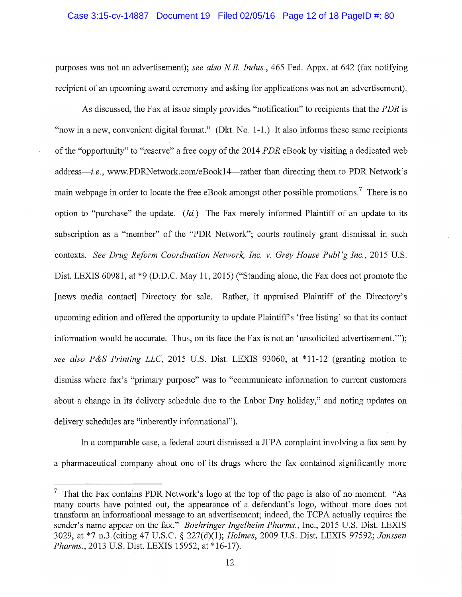## Case 3:15-cv-14887 Document 19 Filed 02/05/16 Page 12 of 18 PageID #: 80

purposes was not an advertisement); see also N.B. Indus., 465 Fed. Appx. at 642 (fax notifying recipient of an upcoming award ceremony and asking for applications was not an advertisement).

As discussed, the Fax at issue simply provides "notification" to recipients that the PDR is "now in a new, convenient digital format." (Dkt. No. 1-1.) It also informs these same recipients of the "opportunity" to "reserve" a free copy of the 2014 *PDR* eBook by visiting a dedicated web address—*i.e.*, www.PDRNetwork.com/eBook14—rather than directing them to PDR Network's main webpage in order to locate the free eBook amongst other possible promotions.<sup>7</sup> There is no option to "purchase" the update.  $(Id)$  The Fax merely informed Plaintiff of an update to its subscription as a "member" of the "PDR Network"; courts routinely grant dismissal in such contexts. See Drug Reform Coordination Network, Inc. v. Grey House Publ'g Inc., 2015 U.S. Dist. LEXIS 60981, at \*9 (D.D.C. May 11, 2015) ("Standing alone, the Fax does not promote the [news media contact] Directory for sale. Rather, it appraised Plaintiff of the Directory's upcoming edition and offered the opportunity to update Plaintiff's 'free listing' so that its contact information would be accurate. Thus, on its face the Fax is not an 'unsolicited advertisement.""); see also P&S Printing LLC, 2015 U.S. Dist. LEXIS 93060, at \*11-12 (granting motion to dismiss where fax's "primary purpose" was to "communicate information to current customers about a change in its delivery schedule due to the Labor Day holiday," and noting updates on delivery schedules are "inherently informational").

In a comparable case, a federal court dismissed a JFPA complaint involving a fax sent by a pharmaceutical company about one of its drugs where the fax contained significantly more

That the Fax contains PDR Network's logo at the top of the page is also of no moment. "As many courts have pointed out, the appearance of a defendant's logo, without more does not transform an informational message to an advertisement; indeed, the TCPA actually requires the sender's name appear on the fax." Boehringer Ingelheim Pharms., Inc., 2015 U.S. Dist. LEXIS 3029, at \*7 n.3 (citing 47 U.S.C. § 227(d)(1); Holmes, 2009 U.S. Dist. LEXIS 97592; Janssen Pharms., 2013 U.S. Dist. LEXIS 15952, at \*16-17).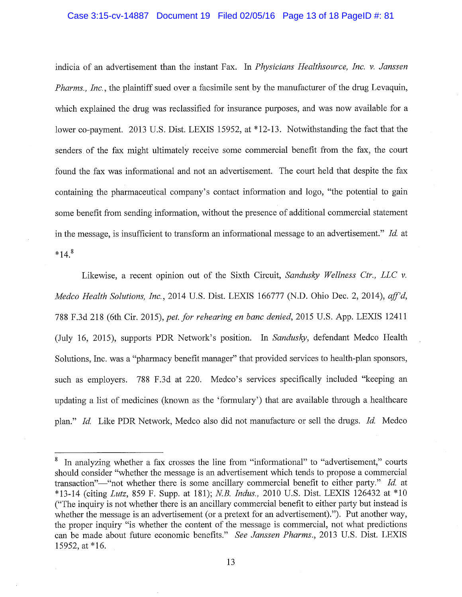### Case 3:15-cv-14887 Document 19 Filed 02/05/16 Page 13 of 18 PageID #: 81

indicia of an advertisement than the instant Fax. In Physicians Healthsource, Inc. v. Janssen *Pharms., Inc., the plaintiff sued over a facsimile sent by the manufacturer of the drug Levaquin,* which explained the drug was reclassified for insurance purposes, and was now available for a lower co-payment. 2013 U.S. Dist. LEXIS 15952, at \*12-13. Notwithstanding the fact that the senders of the fax might ultimately receive some commercial benefit from the fax, the court found the fax was informational and not an advertisement. The court held that despite the fax containing the pharmaceutical company's contact information and logo, "the potential to gain some benefit from sending information, without the presence of additional commercial statement in the message, is insufficient to transform an informational message to an advertisement."  $Id$ . at  $*14.8$ 

Likewise, a recent opinion out of the Sixth Circuit, Sandusky Wellness Ctr., LLC  $\nu$ . Medco Health Solutions, Inc., 2014 U.S. Dist. LEXIS 166777 (N.D. Ohio Dec. 2, 2014), aff'd, 788 F.3d 218 (6th Cir. 2015), pet. for rehearing en banc denied, 2015 U.S. App. LEXIS 12411 (July 16, 2015), supports PDR Network's position. In Sandusky, defendant Medco Health Solutions, Inc. was a "pharmacy benefit manager" that provided services to health-plan sponsors, such as employers. 788 F.3d at 220. Medco's services specifically included "keeping an updating a list of medicines (known as the 'formulary') that are available through a healthcare plan." Id. Like PDR Network, Medco also did not manufacture or sell the drugs. Id. Medco

In analyzing whether a fax crosses the line from "informational" to "advertisement," courts should consider "whether the message is an advertisement which tends to propose a commercial transaction"—"not whether there is some ancillary commercial benefit to either party." Id. at \*13-14 (citing Lutz, 859 F. Supp. at 181); N.B. Indus., 2010 U.S. Dist. LEXIS 126432 at \*10 ("The inquiry is not whether there is an ancillary commercial benefit to either party but instead is whether the message is an advertisement (or a pretext for an advertisement)."). Put another way, the proper inquiry "is whether the content of the message is commercial, not what predictions can be made about future economic benefits." See Janssen Pharms., 2013 U.S. Dist. LEXIS 15952, at \*16.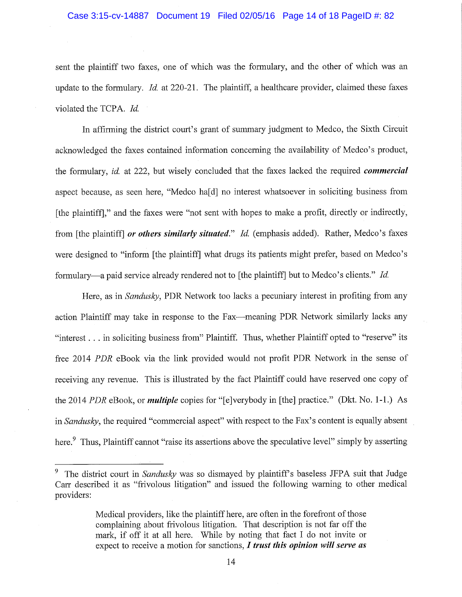# Case 3:15-cv-14887 Document 19 Filed 02/05/16 Page 14 of 18 PageID #: 82

sent the plaintiff two faxes, one of which was the formulary, and the other of which was an update to the formulary. *Id.* at 220-21. The plaintiff, a healthcare provider, claimed these faxes violated the TCPA. Id.

In affirming the district court's grant of summary judgment to Medeo, the Sixth Circuit acknowledged the faxes contained information concerning the availability of Medco's product, the formulary, id. at 222, but wisely concluded that the faxes lacked the required *commercial* aspect because, as seen here, "Medco ha[d] no interest whatsoever in soliciting business from [the plaintiff]," and the faxes were "not sent with hopes to make a profit, directly or indirectly, from [the plaintiff] or others similarly situated." Id. (emphasis added). Rather, Medco's faxes were designed to "inform [the plaintiff] what drugs its patients might prefer, based on Medco's formulary—a paid service already rendered not to [the plaintiff] but to Medco's clients." Id.

Here, as in *Sandusky*, PDR Network too lacks a pecuniary interest in profiting from any action Plaintiff may take in response to the Fax—meaning PDR Network similarly lacks any "interest . . . in soliciting business from" Plaintiff. Thus, whether Plaintiff opted to "reserve" its free 2014 PDR eBook via the link provided would not profit PDR Network in the sense of receiving any revenue. This is illustrated by the fact Plaintiff could have reserved one copy of the 2014 PDR eBook, or *multiple* copies for "[e]verybody in [the] practice." (Dkt. No. 1-1.) As in Sandusky, the required "commercial aspect" with respect to the Fax's content is equally absent here.<sup>9</sup> Thus, Plaintiff cannot "raise its assertions above the speculative level" simply by asserting

<sup>9</sup> The district court in Sandusky was so dismayed by plaintiff's baseless JFPA suit that Judge Carr described it as "frivolous litigation" and issued the following warning to other medical providers:

Medical providers, like the plaintiff here, are often in the forefront of those complaining about frivolous litigation. That description is not far off the mark, if off it at all here. While by noting that fact I do not invite or expect to receive a motion for sanctions,  $I$  trust this opinion will serve as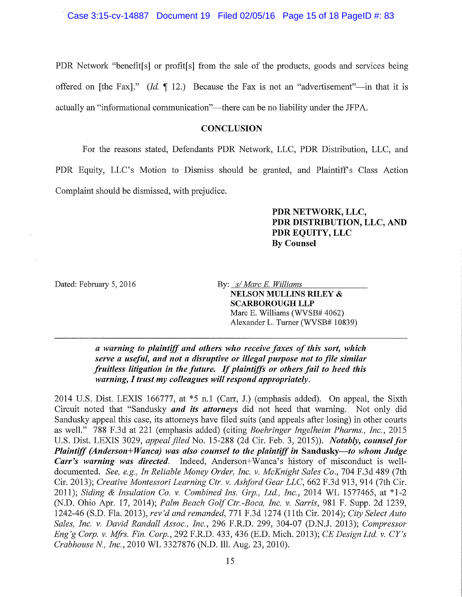Case 3:15-cv-14887 Document 19 Filed 02/05/16 Page 15 of 18 PageID #: 83

PDR Network "benefit[s] or profit[s] from the sale of the products, goods and services being offered on [the Fax]." (*Id.*  $\P$  12.) Because the Fax is not an "advertisement"—in that it is actually an "informational communication"—there can be no liability under the JFPA.

# **CONCLUSION**

For the reasons stated, Defendants PDR Network, LLC, PDR Distribution, LLC, and PDR Equity, LLC's Motion to Dismiss should be granted, and Plaintiff's Class Action Complaint should be dismissed, with prejudice.

> PDR NETWORK, LLC, PDR DISTRIBUTION, LLC, AND PDR EQUITY, LLC **By Counsel**

Dated: February 5, 2016

By: s/ Marc E. Williams **NELSON MULLINS RILEY & SCARBOROUGH LLP** Marc E. Williams (WVSB# 4062) Alexander L. Turner (WVSB# 10839)

a warning to plaintiff and others who receive faxes of this sort, which serve a useful, and not a disruptive or illegal purpose not to file similar fruitless litigation in the future. If plaintiffs or others fail to heed this warning, I trust my colleagues will respond appropriately.

2014 U.S. Dist. LEXIS 166777, at \*5 n.1 (Carr, J.) (emphasis added). On appeal, the Sixth Circuit noted that "Sandusky *and its attorneys* did not heed that warning. Not only did Sandusky appeal this case, its attorneys have filed suits (and appeals after losing) in other courts as well." 788 F.3d at 221 (emphasis added) (citing Boehringer Ingelheim Pharms., Inc., 2015 U.S. Dist. LEXIS 3029, appeal filed No. 15-288 (2d Cir. Feb. 3, 2015)). Notably, counsel for Plaintiff (Anderson+Wanca) was also counsel to the plaintiff in Sandusky-to whom Judge Carr's warning was directed. Indeed, Anderson+Wanca's history of misconduct is welldocumented. See, e.g., In Reliable Money Order, Inc. v. McKnight Sales Co., 704 F.3d 489 (7th Cir. 2013); Creative Montessori Learning Ctr. v. Ashford Gear LLC, 662 F.3d 913, 914 (7th Cir. 2011); Siding & Insulation Co. v. Combined Ins. Grp., Ltd., Inc., 2014 WL 1577465, at \*1-2 (N.D. Ohio Apr. 17, 2014); Palm Beach Golf Ctr.-Boca, Inc. v. Sarris, 981 F. Supp. 2d 1239, 1242-46 (S.D. Fla. 2013), rev'd and remanded, 771 F.3d 1274 (11th Cir. 2014); City Select Auto Sales, Inc. v. David Randall Assoc., Inc., 296 F.R.D. 299, 304-07 (D.N.J. 2013); Compressor Eng'g Corp. v. Mfrs. Fin. Corp., 292 F.R.D. 433, 436 (E.D. Mich. 2013); CE Design Ltd. v. CY's Crabhouse N., Inc., 2010 WL 3327876 (N.D. Ill. Aug. 23, 2010).